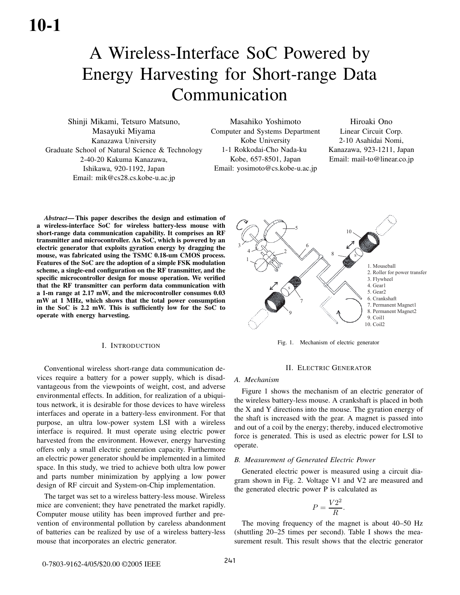# A Wireless-Interface SoC Powered by Energy Harvesting for Short-range Data Communication

Shinji Mikami, Tetsuro Matsuno, Masayuki Miyama Kanazawa University Graduate School of Natural Science & Technology 2-40-20 Kakuma Kanazawa, Ishikawa, 920-1192, Japan Email: mik@cs28.cs.kobe-u.ac.jp

Masahiko Yoshimoto Computer and Systems Department Kobe University 1-1 Rokkodai-Cho Nada-ku Kobe, 657-8501, Japan Email: yosimoto@cs.kobe-u.ac.jp

Hiroaki Ono Linear Circuit Corp. 2-10 Asahidai Nomi, Kanazawa, 923-1211, Japan Email: mail-to@linear.co.jp

*Abstract*— This paper describes the design and estimation of a wireless-interface SoC for wireless battery-less mouse with short-range data communication capability. It comprises an RF transmitter and microcontroller. An SoC, which is powered by an electric generator that exploits gyration energy by dragging the mouse, was fabricated using the TSMC 0.18-um CMOS process. Features of the SoC are the adoption of a simple FSK modulation scheme, a single-end configuration on the RF transmitter, and the specific microcontroller design for mouse operation. We verified that the RF transmitter can perform data communication with a 1-m range at 2.17 mW, and the microcontroller consumes 0.03 mW at 1 MHz, which shows that the total power consumption in the SoC is 2.2 mW. This is sufficiently low for the SoC to operate with energy harvesting.

## I. INTRODUCTION

Conventional wireless short-range data communication devices require a battery for a power supply, which is disadvantageous from the viewpoints of weight, cost, and adverse environmental effects. In addition, for realization of a ubiquitous network, it is desirable for those devices to have wireless interfaces and operate in a battery-less environment. For that purpose, an ultra low-power system LSI with a wireless interface is required. It must operate using electric power harvested from the environment. However, energy harvesting offers only a small electric generation capacity. Furthermore an electric power generator should be implemented in a limited space. In this study, we tried to achieve both ultra low power and parts number minimization by applying a low power design of RF circuit and System-on-Chip implementation.

The target was set to a wireless battery-less mouse. Wireless mice are convenient; they have penetrated the market rapidly. Computer mouse utility has been improved further and prevention of environmental pollution by careless abandonment of batteries can be realized by use of a wireless battery-less mouse that incorporates an electric generator.



Fig. 1. Mechanism of electric generator

# II. ELECTRIC GENERATOR

#### *A. Mechanism*

Figure 1 shows the mechanism of an electric generator of the wireless battery-less mouse. A crankshaft is placed in both the X and Y directions into the mouse. The gyration energy of the shaft is increased with the gear. A magnet is passed into and out of a coil by the energy; thereby, induced electromotive force is generated. This is used as electric power for LSI to operate.

#### *B. Measurement of Generated Electric Power*

Generated electric power is measured using a circuit diagram shown in Fig. 2. Voltage V1 and V2 are measured and the generated electric power P is calculated as

$$
P = \frac{V2^2}{R}.
$$

The moving frequency of the magnet is about 40–50 Hz (shuttling 20–25 times per second). Table I shows the measurement result. This result shows that the electric generator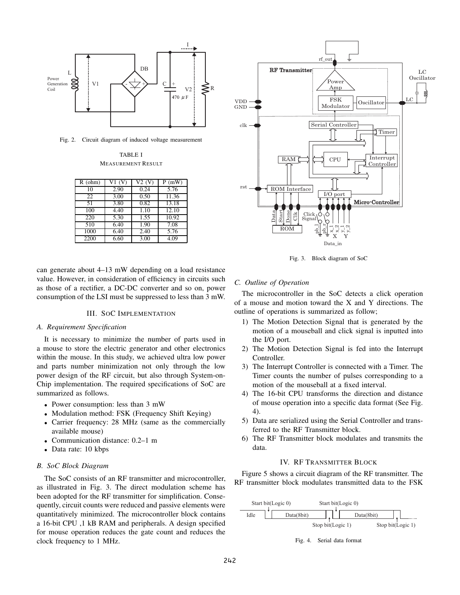

Fig. 2. Circuit diagram of induced voltage measurement

TABLE I MEASUREMENT RESULT

| $R$ (ohm) | V1 (V) | V2 (V) | (mW)  |
|-----------|--------|--------|-------|
| 10        | 2.90   | 0.24   | 5.76  |
| 22        | 3.00   | 0.50   | 11.36 |
| 51        | 3.80   | 0.82   | 13.18 |
| 100       | 4.40   | 1.10   | 12.10 |
| 220       | 5.30   | 1.55   | 10.92 |
| 510       | 6.40   | 1.90   | 7.08  |
| 1000      | 6.40   | 2.40   | 5.76  |
| 2200      | 6.60   | 3.00   | 4.09  |

can generate about 4–13 mW depending on a load resistance value. However, in consideration of efficiency in circuits such as those of a rectifier, a DC-DC converter and so on, power consumption of the LSI must be suppressed to less than 3 mW.

## III. SOC IMPLEMENTATION

## *A. Requirement Specification*

It is necessary to minimize the number of parts used in a mouse to store the electric generator and other electronics within the mouse. In this study, we achieved ultra low power and parts number minimization not only through the low power design of the RF circuit, but also through System-on-Chip implementation. The required specifications of SoC are summarized as follows.

- *•* Power consumption: less than 3 mW
- *•* Modulation method: FSK (Frequency Shift Keying)
- *•* Carrier frequency: 28 MHz (same as the commercially available mouse)
- *•* Communication distance: 0.2–1 m
- *•* Data rate: 10 kbps

## *B. SoC Block Diagram*

The SoC consists of an RF transmitter and microcontroller, as illustrated in Fig. 3. The direct modulation scheme has been adopted for the RF transmitter for simplification. Consequently, circuit counts were reduced and passive elements were quantitatively minimized. The microcontroller block contains a 16-bit CPU ,1 kB RAM and peripherals. A design specified for mouse operation reduces the gate count and reduces the clock frequency to 1 MHz.



Fig. 3. Block diagram of SoC

#### *C. Outline of Operation*

The microcontroller in the SoC detects a click operation of a mouse and motion toward the X and Y directions. The outline of operations is summarized as follow;

- 1) The Motion Detection Signal that is generated by the motion of a mouseball and click signal is inputted into the I/O port.
- 2) The Motion Detection Signal is fed into the Interrupt Controller.
- 3) The Interrupt Controller is connected with a Timer. The Timer counts the number of pulses corresponding to a motion of the mouseball at a fixed interval.
- 4) The 16-bit CPU transforms the direction and distance of mouse operation into a specific data format (See Fig. 4).
- 5) Data are serialized using the Serial Controller and transferred to the RF Transmitter block.
- 6) The RF Transmitter block modulates and transmits the data.

# IV. RF TRANSMITTER BLOCK

Figure 5 shows a circuit diagram of the RF transmitter. The RF transmitter block modulates transmitted data to the FSK



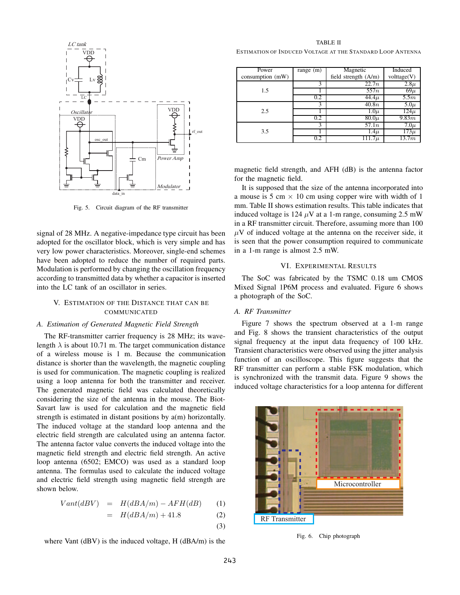

Fig. 5. Circuit diagram of the RF transmitter

signal of 28 MHz. A negative-impedance type circuit has been adopted for the oscillator block, which is very simple and has very low power characteristics. Moreover, single-end schemes have been adopted to reduce the number of required parts. Modulation is performed by changing the oscillation frequency according to transmitted data by whether a capacitor is inserted into the LC tank of an oscillator in series.

# V. ESTIMATION OF THE DISTANCE THAT CAN BE COMMUNICATED

#### *A. Estimation of Generated Magnetic Field Strength*

The RF-transmitter carrier frequency is 28 MHz; its wavelength  $\lambda$  is about 10.71 m. The target communication distance of a wireless mouse is 1 m. Because the communication distance is shorter than the wavelength, the magnetic coupling is used for communication. The magnetic coupling is realized using a loop antenna for both the transmitter and receiver. The generated magnetic field was calculated theoretically considering the size of the antenna in the mouse. The Biot-Savart law is used for calculation and the magnetic field strength is estimated in distant positions by a(m) horizontally. The induced voltage at the standard loop antenna and the electric field strength are calculated using an antenna factor. The antenna factor value converts the induced voltage into the magnetic field strength and electric field strength. An active loop antenna (6502; EMCO) was used as a standard loop antenna. The formulas used to calculate the induced voltage and electric field strength using magnetic field strength are shown below.

$$
Vant(dBV) = H(dBA/m) - AFH(dB)
$$
 (1)

$$
= H(dBA/m) + 41.8 \tag{2}
$$

$$
(3)
$$

where Vant (dBV) is the induced voltage, H (dBA/m) is the

TABLE II ESTIMATION OF INDUCED VOLTAGE AT THE STANDARD LOOP ANTENNA

| Power            | range $(m)$ | Magnetic               | Induced     |
|------------------|-------------|------------------------|-------------|
| consumption (mW) |             | field strength $(A/m)$ | volttage(V) |
| 1.5              | 3           | $\overline{22.7n}$     | $2.8\mu$    |
|                  |             | 557n                   | $69\mu$     |
|                  | 0.2         | $44.4\mu$              | 5.5m        |
|                  | 3           | $\overline{40.8n}$     | $5.0\mu$    |
| 2.5              |             | $1.0\mu$               | $124\mu$    |
|                  | 0.2         | $80.0\mu$              | 9.83m       |
|                  | 3           | 57.1n                  | $7.0\mu$    |
| 3.5              |             | $\overline{1.4}\mu$    | $173\mu$    |
|                  | 0.2         | $111.7\mu$             | 13.7m       |

magnetic field strength, and AFH (dB) is the antenna factor for the magnetic field.

It is supposed that the size of the antenna incorporated into a mouse is 5 cm *×* 10 cm using copper wire with width of 1 mm. Table II shows estimation results. This table indicates that induced voltage is 124  $\mu$ V at a 1-m range, consuming 2.5 mW in a RF transmitter circuit. Therefore, assuming more than 100  $\mu$ V of induced voltage at the antenna on the receiver side, it is seen that the power consumption required to communicate in a 1-m range is almost 2.5 mW.

## VI. EXPERIMENTAL RESULTS

The SoC was fabricated by the TSMC 0.18 um CMOS Mixed Signal 1P6M process and evaluated. Figure 6 shows a photograph of the SoC.

# *A. RF Transmitter*

Figure 7 shows the spectrum observed at a 1-m range and Fig. 8 shows the transient characteristics of the output signal frequency at the input data frequency of 100 kHz. Transient characteristics were observed using the jitter analysis function of an oscilloscope. This figure suggests that the RF transmitter can perform a stable FSK modulation, which is synchronized with the transmit data. Figure 9 shows the induced voltage characteristics for a loop antenna for different



Fig. 6. Chip photograph